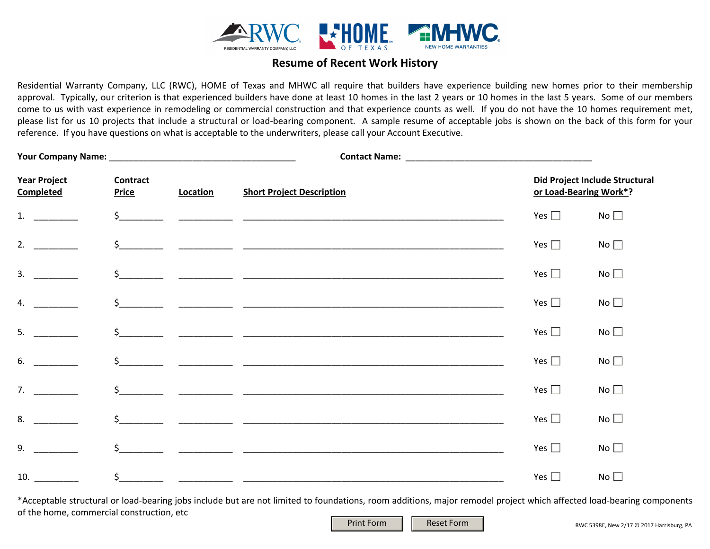

## **Resume of Recent Work History**

Residential Warranty Company, LLC (RWC), HOME of Texas and MHWC all require that builders have experience building new homes prior to their membership approval. Typically, our criterion is that experienced builders have done at least 10 homes in the last 2 years or 10 homes in the last 5 years. Some of our members come to us with vast experience in remodeling or commercial construction and that experience counts as well. If you do not have the 10 homes requirement met, please list for us 10 projects that include a structural or load-bearing component. A sample resume of acceptable jobs is shown on the back of this form for your reference. If you have questions on what is acceptable to the underwriters, please call your Account Executive.

| <b>Year Project</b><br><b>Completed</b> | <b>Contract</b><br><b>Price</b> | Location | <b>Short Project Description</b> |               | Did Project Include Structural<br>or Load-Bearing Work*? |  |
|-----------------------------------------|---------------------------------|----------|----------------------------------|---------------|----------------------------------------------------------|--|
| 1.                                      |                                 |          |                                  | Yes $\square$ | No                                                       |  |
| 2.                                      |                                 |          |                                  | Yes $\Box$    | No $\square$                                             |  |
| 3.                                      |                                 |          | $\frac{1}{2}$                    | Yes $\square$ | No                                                       |  |
| 4.                                      |                                 |          |                                  | Yes $\square$ | No                                                       |  |
| 5.                                      |                                 |          | $\frac{1}{2}$                    | Yes $\square$ | No                                                       |  |
| 6.                                      |                                 |          | $\frac{1}{2}$                    | Yes $\square$ | No                                                       |  |
| 7.                                      |                                 |          | $\frac{1}{2}$                    | Yes $\square$ | No                                                       |  |
| 8.                                      |                                 |          |                                  | Yes $\square$ | No                                                       |  |
| 9.                                      |                                 |          | $\frac{1}{2}$                    | Yes $\square$ | No                                                       |  |
| 10.                                     | $\mathsf{S}_-$                  |          |                                  | Yes $\square$ | No                                                       |  |

\*Acceptable structural or load-bearing jobs include but are not limited to foundations, room additions, major remodel project which affected load-bearing components of the home, commercial construction, etc

Print Form | | Reset Form